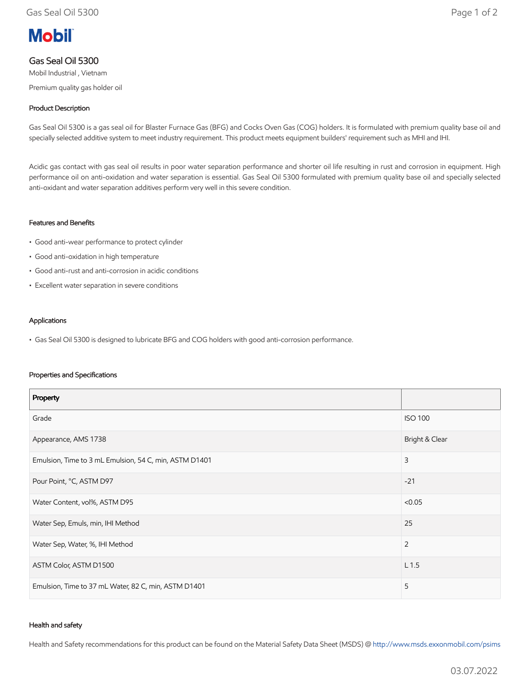# **Mobil**

# Gas Seal Oil 5300

Mobil Industrial , Vietnam Premium quality gas holder oil

## Product Description

Gas Seal Oil 5300 is a gas seal oil for Blaster Furnace Gas (BFG) and Cocks Oven Gas (COG) holders. It is formulated with premium quality base oil and specially selected additive system to meet industry requirement. This product meets equipment builders' requirement such as MHI and IHI.

Acidic gas contact with gas seal oil results in poor water separation performance and shorter oil life resulting in rust and corrosion in equipment. High performance oil on anti-oxidation and water separation is essential. Gas Seal Oil 5300 formulated with premium quality base oil and specially selected anti-oxidant and water separation additives perform very well in this severe condition.

#### Features and Benefits

- Good anti-wear performance to protect cylinder
- Good anti-oxidation in high temperature
- Good anti-rust and anti-corrosion in acidic conditions
- Excellent water separation in severe conditions

#### Applications

• Gas Seal Oil 5300 is designed to lubricate BFG and COG holders with good anti-corrosion performance.

#### Properties and Specifications

| Property                                               |                  |
|--------------------------------------------------------|------------------|
| Grade                                                  | <b>ISO 100</b>   |
| Appearance, AMS 1738                                   | Bright & Clear   |
| Emulsion, Time to 3 mL Emulsion, 54 C, min, ASTM D1401 | 3                |
| Pour Point, °C, ASTM D97                               | $-21$            |
| Water Content, vol%, ASTM D95                          | < 0.05           |
| Water Sep, Emuls, min, IHI Method                      | 25               |
| Water Sep, Water, %, IHI Method                        | $\overline{2}$   |
| ASTM Color, ASTM D1500                                 | L <sub>1.5</sub> |
| Emulsion, Time to 37 mL Water, 82 C, min, ASTM D1401   | 5                |

#### Health and safety

Health and Safety recommendations for this product can be found on the Material Safety Data Sheet (MSDS) @ [http://www.msds.exxonmobil.com/psims](http://www.msds.exxonmobil.com/psims/psims.aspx)